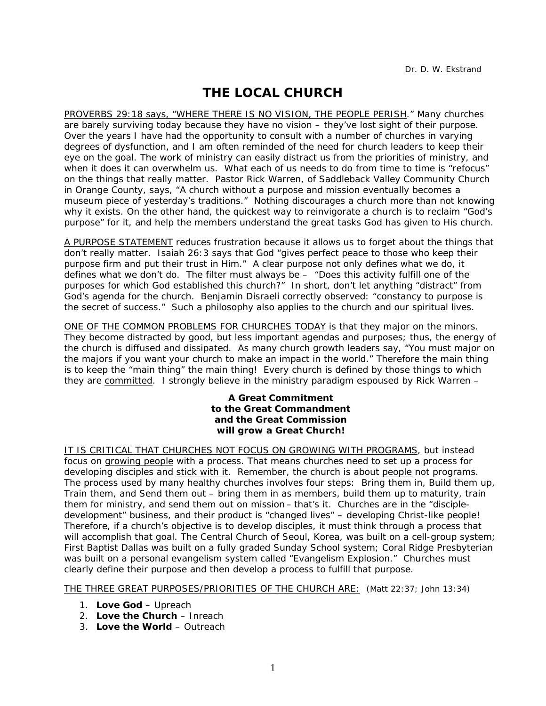## **THE LOCAL CHURCH**

PROVERBS 29:18 says, "WHERE THERE IS NO VISION, THE PEOPLE PERISH." Many churches are barely surviving today because they have no vision – they've lost sight of their purpose. Over the years I have had the opportunity to consult with a number of churches in varying degrees of dysfunction, and I am often reminded of the need for church leaders to keep their eye on the goal. The work of ministry can easily distract us from the priorities of ministry, and when it does it can overwhelm us. What each of us needs to do from time to time is "refocus" on the things that really matter. Pastor Rick Warren, of Saddleback Valley Community Church in Orange County, says, "A church without a purpose and mission eventually becomes a museum piece of yesterday's traditions." Nothing discourages a church more than not knowing why it exists. On the other hand, the quickest way to reinvigorate a church is to reclaim "God's purpose" for it, and help the members understand the great tasks God has given to His church.

A PURPOSE STATEMENT reduces frustration because it allows us to forget about the things that don't really matter. Isaiah 26:3 says that God "gives perfect peace to those who keep their purpose firm and put their trust in Him." A clear purpose not only defines what we do, it defines what we don't do. The filter must always be – "Does this activity fulfill one of the purposes for which God established this church?" In short, don't let anything "distract" from God's agenda for the church. Benjamin Disraeli correctly observed: "constancy to purpose is the secret of success." Such a philosophy also applies to the church and our spiritual lives.

ONE OF THE COMMON PROBLEMS FOR CHURCHES TODAY is that they major on the minors. They become distracted by good, but less important agendas and purposes; thus, the energy of the church is diffused and dissipated. As many church growth leaders say, "You must major on the majors if you want your church to make an impact in the world." Therefore the main thing is to keep the "main thing" the main thing! Every church is defined by those things to which they are *committed*. I strongly believe in the ministry paradigm espoused by Rick Warren –

## *A Great Commitment to the Great Commandment and the Great Commission will grow a Great Church!*

IT IS CRITICAL THAT CHURCHES NOT FOCUS ON GROWING WITH PROGRAMS, but instead focus on *growing people* with a process. That means churches need to set up a process for developing disciples and *stick with it*. Remember, the church is about *people* not programs. The process used by many healthy churches involves four steps: Bring them in, Build them up, Train them, and Send them out – bring them in as members, build them up to maturity, train them for ministry, and send them out on mission – that's it. Churches are in the "discipledevelopment" business, and their product is "changed lives" – developing Christ-like people! Therefore, if a church's objective is to develop disciples, it must think through a process that will accomplish that goal. The Central Church of Seoul, Korea, was built on a cell-group system; First Baptist Dallas was built on a fully graded Sunday School system; Coral Ridge Presbyterian was built on a personal evangelism system called *"Evangelism Explosion."* Churches must clearly define their purpose and then develop a process to fulfill that purpose.

THE THREE GREAT PURPOSES/PRIORITIES OF THE CHURCH ARE: (Matt 22:37; John 13:34)

- 1. **Love God** Upreach
- 2. **Love the Church** Inreach
- 3. **Love the World** Outreach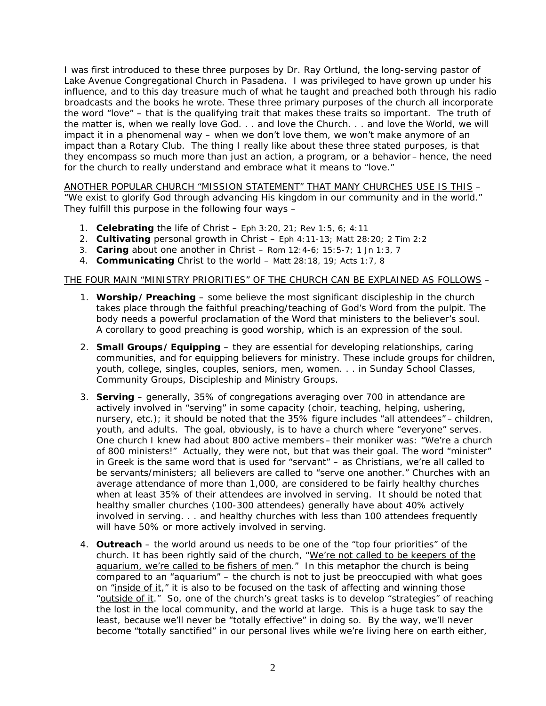I was first introduced to these three purposes by Dr. Ray Ortlund, the long-serving pastor of Lake Avenue Congregational Church in Pasadena. I was privileged to have grown up under his influence, and to this day treasure much of what he taught and preached both through his radio broadcasts and the books he wrote. These three primary purposes of the church all incorporate the word "love" – that is the qualifying trait that makes these traits so important. The truth of the matter is, when we really love God. . . and love the Church. . . and love the World, we will impact it in a phenomenal way – when we don't love them, we won't make anymore of an impact than a Rotary Club. The thing I really like about these three stated purposes, is that they encompass so much more than just an action, a program, or a behavior – hence, the need for the church to really understand and embrace what it means to "love."

ANOTHER POPULAR CHURCH "MISSION STATEMENT" THAT MANY CHURCHES USE IS THIS – "We exist to glorify God through advancing His kingdom in our community and in the world." They fulfill this purpose in the following four ways –

- 1. **Celebrating** the life of Christ Eph 3:20, 21; Rev 1:5, 6; 4:11
- 2. **Cultivating** personal growth in Christ Eph 4:11-13; Matt 28:20; 2 Tim 2:2
- 3. **Caring** about one another in Christ Rom 12:4-6; 15:5-7; 1 Jn 1:3, 7
- 4. **Communicating** Christ to the world Matt 28:18, 19; Acts 1:7, 8

## THE FOUR MAIN "MINISTRY PRIORITIES" OF THE CHURCH CAN BE EXPLAINED AS FOLLOWS –

- 1. **Worship/Preaching** some believe the most significant discipleship in the church takes place through the faithful preaching/teaching of God's Word from the pulpit. The body needs a powerful proclamation of the Word that ministers to the believer's soul. A corollary to good preaching is good worship, which is an expression of the soul.
- 2. **Small Groups/Equipping** they are essential for developing relationships, caring communities, and for equipping believers for ministry. These include groups for children, youth, college, singles, couples, seniors, men, women. . . in Sunday School Classes, Community Groups, Discipleship and Ministry Groups.
- 3. **Serving**  generally, 35% of congregations averaging over 700 in attendance are actively involved in "serving" in some capacity (choir, teaching, helping, ushering, nursery, etc.); it should be noted that the 35% figure includes "all attendees" – children, youth, and adults. The goal, obviously, is to have a church where "everyone" serves. One church I knew had about 800 active members– their moniker was: "We're a church of 800 ministers!" Actually, they were not, but that was their goal. The word "minister" in Greek is the same word that is used for "servant" – as Christians, we're all called to be servants/ministers; all believers are called to "serve one another." Churches with an average attendance of more than 1,000, are considered to be fairly healthy churches when at least 35% of their attendees are involved in serving. It should be noted that healthy smaller churches (100-300 attendees) generally have about 40% actively involved in serving. . . and healthy churches with less than 100 attendees frequently will have 50% or more actively involved in serving.
- 4. **Outreach**  the world around us needs to be one of the "top four priorities" of the church. It has been rightly said of the church, "We're not called to be keepers of the aquarium, we're called to be fishers of men." In this metaphor the church is being compared to an "aquarium" – the church is not to just be preoccupied with what goes on "inside of it," it is also to be focused on the task of affecting and winning those "outside of it." So, one of the church's great tasks is to develop "strategies" of reaching the lost in the local community, and the world at large. This is a huge task to say the least, because we'll never be "totally effective" in doing so. By the way, we'll never become "totally sanctified" in our personal lives while we're living here on earth either,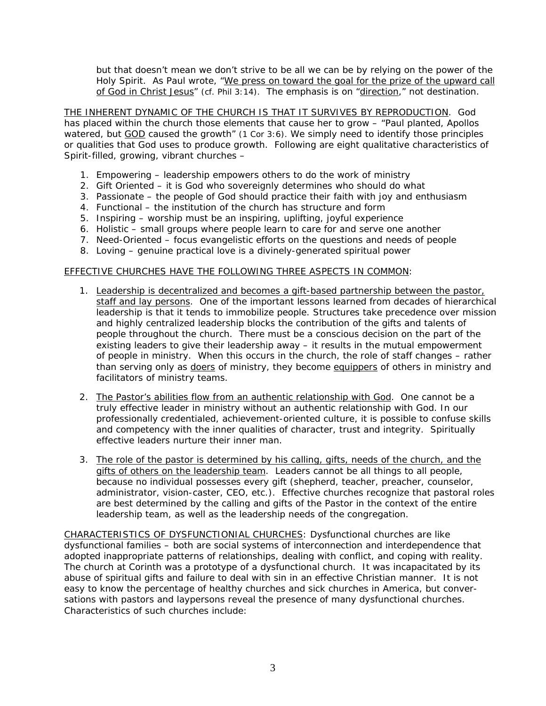but that doesn't mean we don't strive to be all we can be by relying on the power of the Holy Spirit. As Paul wrote, "We press on toward the goal for the prize of the upward call of God in Christ Jesus" (cf. Phil 3:14). The emphasis is on "direction," not destination.

THE INHERENT DYNAMIC OF THE CHURCH IS THAT IT SURVIVES BY REPRODUCTION. God has placed within the church those elements that cause her to grow – "Paul planted, Apollos watered, but GOD caused the growth" (1 Cor 3:6). We simply need to identify those principles or qualities that God uses to produce growth. Following are eight qualitative characteristics of Spirit-filled, growing, vibrant churches –

- 1. Empowering leadership empowers others to do the work of ministry
- 2. Gift Oriented it is God who sovereignly determines who should do what
- 3. Passionate the people of God should practice their faith with joy and enthusiasm
- 4. Functional the institution of the church has structure and form
- 5. Inspiring worship must be an inspiring, uplifting, joyful experience
- 6. Holistic small groups where people learn to care for and serve one another
- 7. Need-Oriented focus evangelistic efforts on the questions and needs of people
- 8. Loving genuine practical love is a divinely-generated spiritual power

## EFFECTIVE CHURCHES HAVE THE FOLLOWING THREE ASPECTS IN COMMON:

- 1. Leadership is decentralized and becomes a gift-based partnership between the pastor, staff and lay persons. One of the important lessons learned from decades of hierarchical leadership is that it tends to immobilize people. Structures take precedence over mission and highly centralized leadership blocks the contribution of the gifts and talents of people throughout the church. There must be a conscious decision on the part of the existing leaders to give their leadership away – it results in the mutual empowerment of people in ministry. When this occurs in the church, the role of staff changes – rather than serving only as *doers* of ministry, they become *equippers* of others in ministry and facilitators of ministry teams.
- 2. The Pastor's abilities flow from an authentic relationship with God. One cannot be a truly effective leader in ministry without an authentic relationship with God. In our professionally credentialed, achievement-oriented culture, it is possible to confuse skills and competency with the inner qualities of character, trust and integrity. Spiritually effective leaders nurture their inner man.
- 3. The role of the pastor is determined by his calling, gifts, needs of the church, and the gifts of others on the leadership team. Leaders cannot be all things to all people, because no individual possesses every gift (shepherd, teacher, preacher, counselor, administrator, vision-caster, CEO, etc.). Effective churches recognize that pastoral roles are best determined by the calling and gifts of the Pastor in the context of the entire leadership team, as well as the leadership needs of the congregation.

CHARACTERISTICS OF DYSFUNCTIONIAL CHURCHES: Dysfunctional churches are like dysfunctional families – both are social systems of interconnection and interdependence that adopted inappropriate patterns of relationships, dealing with conflict, and coping with reality. The church at Corinth was a prototype of a dysfunctional church. It was incapacitated by its abuse of spiritual gifts and failure to deal with sin in an effective Christian manner. It is not easy to know the percentage of healthy churches and sick churches in America, but conversations with pastors and laypersons reveal the presence of many dysfunctional churches. Characteristics of such churches include: